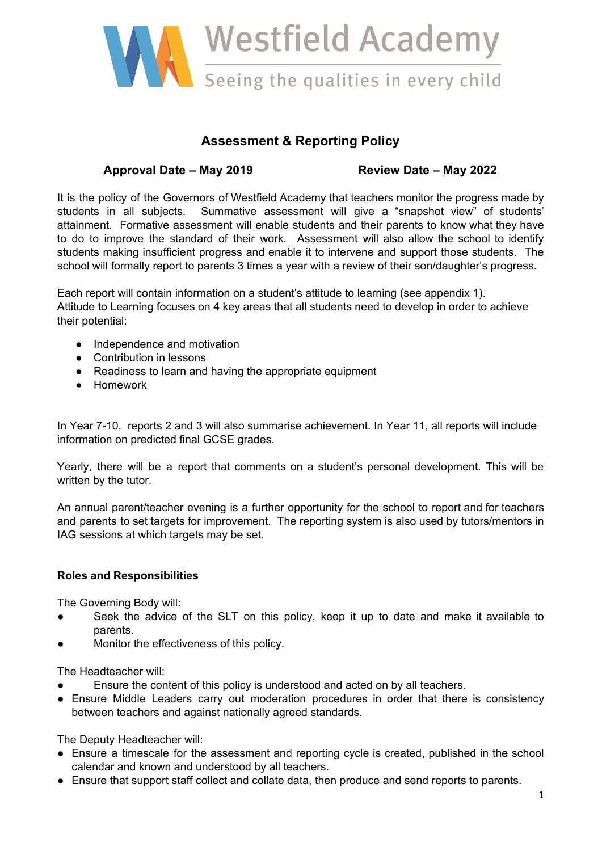

# **Assessment & Reporting Policy**

## **Approval Date – May 2019 Review Date – May 2022**

It is the policy of the Governors of Westfield Academy that teachers monitor the progress made by students in all subjects. Summative assessment will give a "snapshot view" of students' attainment. Formative assessment will enable students and their parents to know what they have to do to improve the standard of their work. Assessment will also allow the school to identify students making insufficient progress and enable it to intervene and support those students. The school will formally report to parents 3 times a year with a review of their son/daughter's progress.

Each report will contain information on a student's attitude to learning (see appendix 1). Attitude to Learning focuses on 4 key areas that all students need to develop in order to achieve their potential:

- Independence and motivation
- Contribution in lessons
- Readiness to learn and having the appropriate equipment
- Homework

In Year 7-10, reports 2 and 3 will also summarise achievement. In Year 11, all reports will include information on predicted final GCSE grades.

Yearly, there will be a report that comments on a student's personal development. This will be written by the tutor.

An annual parent/teacher evening is a further opportunity for the school to report and for teachers and parents to set targets for improvement. The reporting system is also used by tutors/mentors in IAG sessions at which targets may be set.

### **Roles and Responsibilities**

The Governing Body will:

- Seek the advice of the SLT on this policy, keep it up to date and make it available to parents.
- Monitor the effectiveness of this policy.

The Headteacher will:

- Ensure the content of this policy is understood and acted on by all teachers.
- Ensure Middle Leaders carry out moderation procedures in order that there is consistency between teachers and against nationally agreed standards.

The Deputy Headteacher will:

- Ensure a timescale for the assessment and reporting cycle is created, published in the school calendar and known and understood by all teachers.
- Ensure that support staff collect and collate data, then produce and send reports to parents.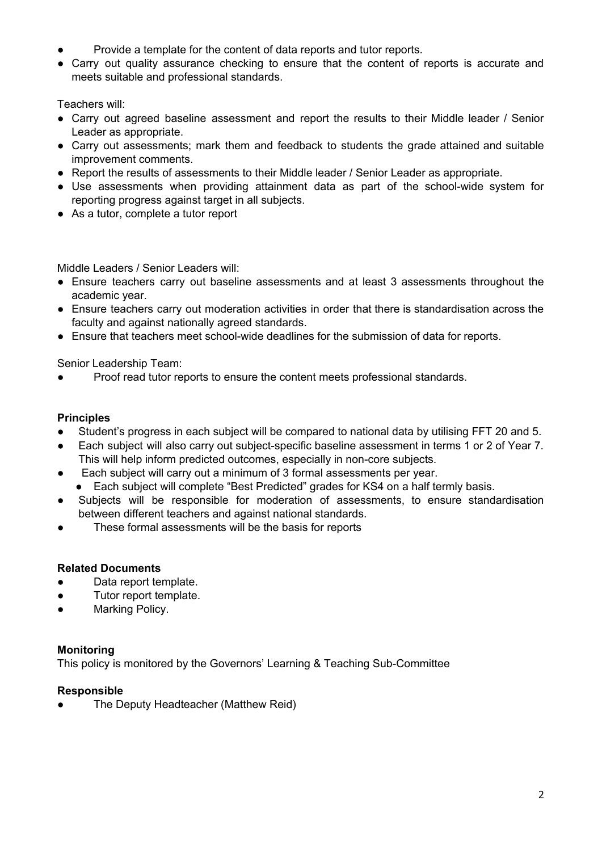- Provide a template for the content of data reports and tutor reports.
- Carry out quality assurance checking to ensure that the content of reports is accurate and meets suitable and professional standards.

Teachers will:

- Carry out agreed baseline assessment and report the results to their Middle leader / Senior Leader as appropriate.
- Carry out assessments; mark them and feedback to students the grade attained and suitable improvement comments.
- Report the results of assessments to their Middle leader / Senior Leader as appropriate.
- Use assessments when providing attainment data as part of the school-wide system for reporting progress against target in all subjects.
- As a tutor, complete a tutor report

Middle Leaders / Senior Leaders will:

- Ensure teachers carry out baseline assessments and at least 3 assessments throughout the academic year.
- Ensure teachers carry out moderation activities in order that there is standardisation across the faculty and against nationally agreed standards.
- Ensure that teachers meet school-wide deadlines for the submission of data for reports.

Senior Leadership Team:

Proof read tutor reports to ensure the content meets professional standards.

## **Principles**

- Student's progress in each subject will be compared to national data by utilising FFT 20 and 5.
- Each subject will also carry out subject-specific baseline assessment in terms 1 or 2 of Year 7. This will help inform predicted outcomes, especially in non-core subjects.
- Each subject will carry out a minimum of 3 formal assessments per year.
- Each subject will complete "Best Predicted" grades for KS4 on a half termly basis.
- Subjects will be responsible for moderation of assessments, to ensure standardisation between different teachers and against national standards.
- These formal assessments will be the basis for reports

## **Related Documents**

- Data report template.
- Tutor report template.
- Marking Policy.

### **Monitoring**

This policy is monitored by the Governors' Learning & Teaching Sub-Committee

### **Responsible**

● The Deputy Headteacher (Matthew Reid)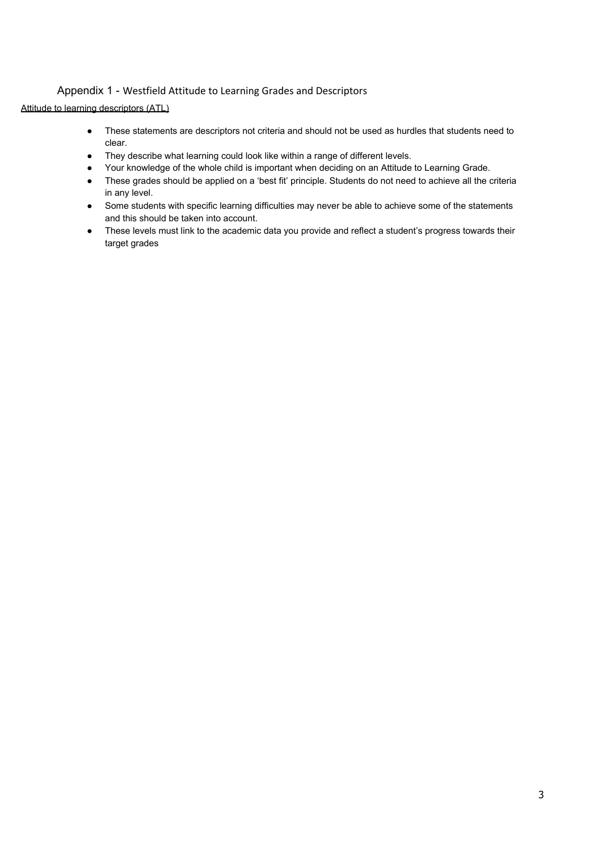#### Appendix 1 - Westfield Attitude to Learning Grades and Descriptors

## Attitude to learning descriptors (ATL)

- These statements are descriptors not criteria and should not be used as hurdles that students need to clear.
- They describe what learning could look like within a range of different levels.
- Your knowledge of the whole child is important when deciding on an Attitude to Learning Grade.
- These grades should be applied on a 'best fit' principle. Students do not need to achieve all the criteria in any level.
- Some students with specific learning difficulties may never be able to achieve some of the statements and this should be taken into account.
- These levels must link to the academic data you provide and reflect a student's progress towards their target grades